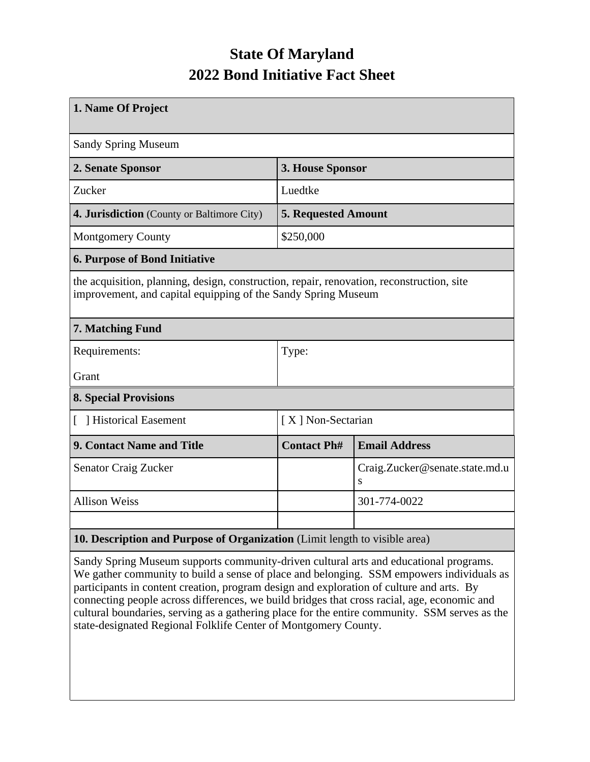## **State Of Maryland 2022 Bond Initiative Fact Sheet**

| 1. Name Of Project                                                                                                                                         |                            |                                     |  |  |  |  |  |
|------------------------------------------------------------------------------------------------------------------------------------------------------------|----------------------------|-------------------------------------|--|--|--|--|--|
| <b>Sandy Spring Museum</b>                                                                                                                                 |                            |                                     |  |  |  |  |  |
| 2. Senate Sponsor                                                                                                                                          | 3. House Sponsor           |                                     |  |  |  |  |  |
| Zucker                                                                                                                                                     | Luedtke                    |                                     |  |  |  |  |  |
| 4. Jurisdiction (County or Baltimore City)                                                                                                                 | <b>5. Requested Amount</b> |                                     |  |  |  |  |  |
| <b>Montgomery County</b>                                                                                                                                   | \$250,000                  |                                     |  |  |  |  |  |
| <b>6. Purpose of Bond Initiative</b>                                                                                                                       |                            |                                     |  |  |  |  |  |
| the acquisition, planning, design, construction, repair, renovation, reconstruction, site<br>improvement, and capital equipping of the Sandy Spring Museum |                            |                                     |  |  |  |  |  |
| 7. Matching Fund                                                                                                                                           |                            |                                     |  |  |  |  |  |
| Requirements:                                                                                                                                              | Type:                      |                                     |  |  |  |  |  |
| Grant                                                                                                                                                      |                            |                                     |  |  |  |  |  |
| <b>8. Special Provisions</b>                                                                                                                               |                            |                                     |  |  |  |  |  |
| [ ] Historical Easement                                                                                                                                    | [X] Non-Sectarian          |                                     |  |  |  |  |  |
| <b>9. Contact Name and Title</b>                                                                                                                           | <b>Contact Ph#</b>         | <b>Email Address</b>                |  |  |  |  |  |
| Senator Craig Zucker                                                                                                                                       |                            | Craig.Zucker@senate.state.md.u<br>S |  |  |  |  |  |
| <b>Allison Weiss</b>                                                                                                                                       |                            | 301-774-0022                        |  |  |  |  |  |
|                                                                                                                                                            |                            |                                     |  |  |  |  |  |
| 10. Description and Purpose of Organization (Limit length to visible area)                                                                                 |                            |                                     |  |  |  |  |  |

Sandy Spring Museum supports community-driven cultural arts and educational programs. We gather community to build a sense of place and belonging. SSM empowers individuals as participants in content creation, program design and exploration of culture and arts. By connecting people across differences, we build bridges that cross racial, age, economic and cultural boundaries, serving as a gathering place for the entire community. SSM serves as the state-designated Regional Folklife Center of Montgomery County.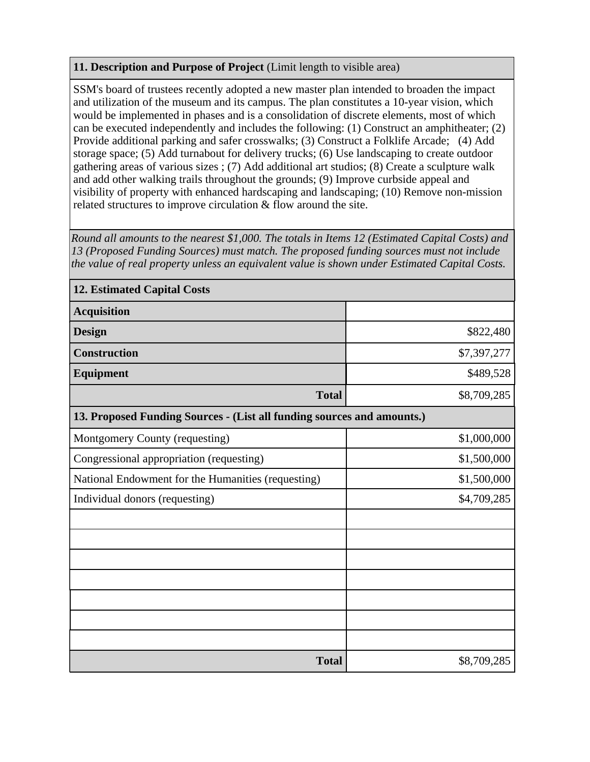## **11. Description and Purpose of Project** (Limit length to visible area)

SSM's board of trustees recently adopted a new master plan intended to broaden the impact and utilization of the museum and its campus. The plan constitutes a 10-year vision, which would be implemented in phases and is a consolidation of discrete elements, most of which can be executed independently and includes the following: (1) Construct an amphitheater; (2) Provide additional parking and safer crosswalks; (3) Construct a Folklife Arcade; (4) Add storage space; (5) Add turnabout for delivery trucks; (6) Use landscaping to create outdoor gathering areas of various sizes ; (7) Add additional art studios; (8) Create a sculpture walk and add other walking trails throughout the grounds; (9) Improve curbside appeal and visibility of property with enhanced hardscaping and landscaping; (10) Remove non-mission related structures to improve circulation & flow around the site.

*Round all amounts to the nearest \$1,000. The totals in Items 12 (Estimated Capital Costs) and 13 (Proposed Funding Sources) must match. The proposed funding sources must not include the value of real property unless an equivalent value is shown under Estimated Capital Costs.*

| <b>12. Estimated Capital Costs</b>                                     |             |  |  |  |  |  |
|------------------------------------------------------------------------|-------------|--|--|--|--|--|
| <b>Acquisition</b>                                                     |             |  |  |  |  |  |
| <b>Design</b>                                                          | \$822,480   |  |  |  |  |  |
| <b>Construction</b>                                                    | \$7,397,277 |  |  |  |  |  |
| Equipment                                                              | \$489,528   |  |  |  |  |  |
| <b>Total</b>                                                           | \$8,709,285 |  |  |  |  |  |
| 13. Proposed Funding Sources - (List all funding sources and amounts.) |             |  |  |  |  |  |
| Montgomery County (requesting)                                         | \$1,000,000 |  |  |  |  |  |
| Congressional appropriation (requesting)                               | \$1,500,000 |  |  |  |  |  |
| National Endowment for the Humanities (requesting)                     | \$1,500,000 |  |  |  |  |  |
| Individual donors (requesting)                                         | \$4,709,285 |  |  |  |  |  |
|                                                                        |             |  |  |  |  |  |
|                                                                        |             |  |  |  |  |  |
|                                                                        |             |  |  |  |  |  |
|                                                                        |             |  |  |  |  |  |
|                                                                        |             |  |  |  |  |  |
|                                                                        |             |  |  |  |  |  |
|                                                                        |             |  |  |  |  |  |
| <b>Total</b>                                                           | \$8,709,285 |  |  |  |  |  |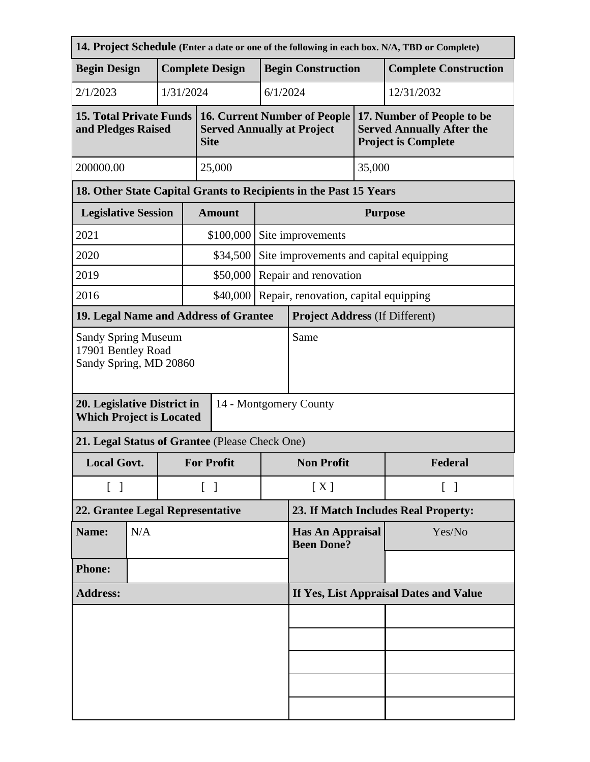| 14. Project Schedule (Enter a date or one of the following in each box. N/A, TBD or Complete)             |                                                   |                        |                                              |                                                                                         |                                         |                                       |                                                                                              |                              |  |
|-----------------------------------------------------------------------------------------------------------|---------------------------------------------------|------------------------|----------------------------------------------|-----------------------------------------------------------------------------------------|-----------------------------------------|---------------------------------------|----------------------------------------------------------------------------------------------|------------------------------|--|
| <b>Begin Design</b>                                                                                       |                                                   | <b>Complete Design</b> |                                              |                                                                                         | <b>Begin Construction</b>               |                                       |                                                                                              | <b>Complete Construction</b> |  |
| 2/1/2023                                                                                                  |                                                   |                        | 1/31/2024                                    |                                                                                         |                                         | 6/1/2024                              |                                                                                              | 12/31/2032                   |  |
| <b>15. Total Private Funds</b><br>and Pledges Raised                                                      |                                                   |                        |                                              | <b>16. Current Number of People</b><br><b>Served Annually at Project</b><br><b>Site</b> |                                         |                                       | 17. Number of People to be<br><b>Served Annually After the</b><br><b>Project is Complete</b> |                              |  |
| 200000.00                                                                                                 |                                                   |                        |                                              | 25,000                                                                                  | 35,000                                  |                                       |                                                                                              |                              |  |
| 18. Other State Capital Grants to Recipients in the Past 15 Years                                         |                                                   |                        |                                              |                                                                                         |                                         |                                       |                                                                                              |                              |  |
| <b>Legislative Session</b>                                                                                |                                                   |                        | <b>Amount</b>                                |                                                                                         | <b>Purpose</b>                          |                                       |                                                                                              |                              |  |
| 2021                                                                                                      |                                                   |                        |                                              | \$100,000                                                                               | Site improvements                       |                                       |                                                                                              |                              |  |
| 2020                                                                                                      |                                                   |                        |                                              | \$34,500                                                                                | Site improvements and capital equipping |                                       |                                                                                              |                              |  |
| 2019                                                                                                      |                                                   |                        |                                              | \$50,000                                                                                | Repair and renovation                   |                                       |                                                                                              |                              |  |
| 2016                                                                                                      | \$40,000<br>Repair, renovation, capital equipping |                        |                                              |                                                                                         |                                         |                                       |                                                                                              |                              |  |
| 19. Legal Name and Address of Grantee                                                                     |                                                   |                        |                                              |                                                                                         |                                         | <b>Project Address (If Different)</b> |                                                                                              |                              |  |
| <b>Sandy Spring Museum</b><br>17901 Bentley Road<br>Sandy Spring, MD 20860<br>20. Legislative District in |                                                   |                        |                                              |                                                                                         |                                         | Same                                  |                                                                                              |                              |  |
| 14 - Montgomery County<br><b>Which Project is Located</b>                                                 |                                                   |                        |                                              |                                                                                         |                                         |                                       |                                                                                              |                              |  |
| 21. Legal Status of Grantee (Please Check One)                                                            |                                                   |                        |                                              |                                                                                         |                                         |                                       |                                                                                              |                              |  |
| <b>Local Govt.</b>                                                                                        |                                                   |                        |                                              | <b>For Profit</b>                                                                       |                                         | <b>Non Profit</b>                     |                                                                                              | Federal                      |  |
| $\begin{bmatrix} 1 \end{bmatrix}$                                                                         |                                                   |                        | $\lceil \; \rceil$                           |                                                                                         | [X]                                     |                                       | $\lceil \; \rceil$                                                                           |                              |  |
| 22. Grantee Legal Representative                                                                          |                                                   |                        |                                              |                                                                                         |                                         | 23. If Match Includes Real Property:  |                                                                                              |                              |  |
| Name:                                                                                                     | N/A                                               |                        | <b>Has An Appraisal</b><br><b>Been Done?</b> |                                                                                         |                                         | Yes/No                                |                                                                                              |                              |  |
| <b>Phone:</b>                                                                                             |                                                   |                        |                                              |                                                                                         |                                         |                                       |                                                                                              |                              |  |
| <b>Address:</b>                                                                                           |                                                   |                        | If Yes, List Appraisal Dates and Value       |                                                                                         |                                         |                                       |                                                                                              |                              |  |
|                                                                                                           |                                                   |                        |                                              |                                                                                         |                                         |                                       |                                                                                              |                              |  |
|                                                                                                           |                                                   |                        |                                              |                                                                                         |                                         |                                       |                                                                                              |                              |  |
|                                                                                                           |                                                   |                        |                                              |                                                                                         |                                         |                                       |                                                                                              |                              |  |
|                                                                                                           |                                                   |                        |                                              |                                                                                         |                                         |                                       |                                                                                              |                              |  |
|                                                                                                           |                                                   |                        |                                              |                                                                                         |                                         |                                       |                                                                                              |                              |  |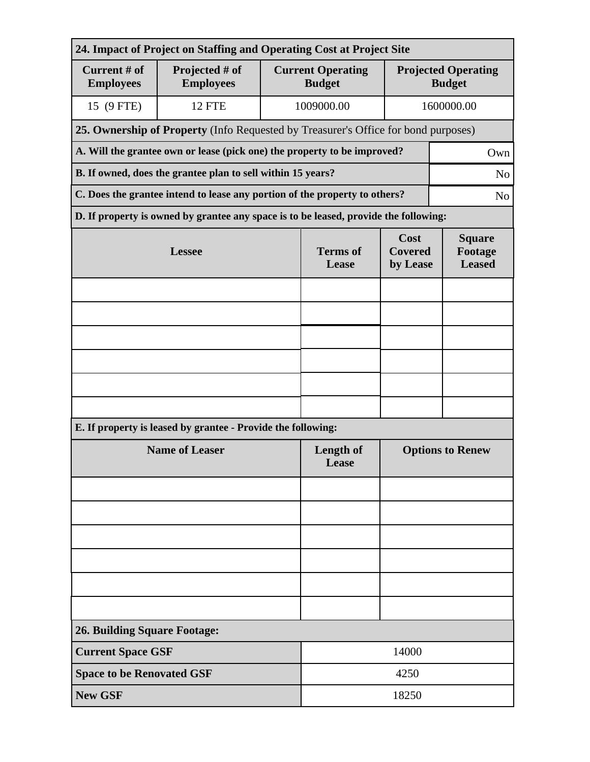| 24. Impact of Project on Staffing and Operating Cost at Project Site            |                                                                                              |                          |                                           |                                             |            |  |  |  |  |
|---------------------------------------------------------------------------------|----------------------------------------------------------------------------------------------|--------------------------|-------------------------------------------|---------------------------------------------|------------|--|--|--|--|
| Current # of<br><b>Employees</b>                                                | Projected # of<br><b>Employees</b>                                                           |                          | <b>Current Operating</b><br><b>Budget</b> | <b>Projected Operating</b><br><b>Budget</b> |            |  |  |  |  |
| 15 (9 FTE)                                                                      | 12 FTE                                                                                       |                          | 1009000.00                                |                                             | 1600000.00 |  |  |  |  |
|                                                                                 | 25. Ownership of Property (Info Requested by Treasurer's Office for bond purposes)           |                          |                                           |                                             |            |  |  |  |  |
| A. Will the grantee own or lease (pick one) the property to be improved?<br>Own |                                                                                              |                          |                                           |                                             |            |  |  |  |  |
| B. If owned, does the grantee plan to sell within 15 years?<br>N <sub>o</sub>   |                                                                                              |                          |                                           |                                             |            |  |  |  |  |
|                                                                                 | C. Does the grantee intend to lease any portion of the property to others?<br>N <sub>0</sub> |                          |                                           |                                             |            |  |  |  |  |
|                                                                                 | D. If property is owned by grantee any space is to be leased, provide the following:         |                          |                                           |                                             |            |  |  |  |  |
|                                                                                 | <b>Lessee</b>                                                                                | <b>Terms</b> of<br>Lease | Cost<br><b>Covered</b><br>by Lease        | <b>Square</b><br>Footage<br><b>Leased</b>   |            |  |  |  |  |
|                                                                                 |                                                                                              |                          |                                           |                                             |            |  |  |  |  |
|                                                                                 |                                                                                              |                          |                                           |                                             |            |  |  |  |  |
|                                                                                 |                                                                                              |                          |                                           |                                             |            |  |  |  |  |
|                                                                                 |                                                                                              |                          |                                           |                                             |            |  |  |  |  |
|                                                                                 |                                                                                              |                          |                                           |                                             |            |  |  |  |  |
|                                                                                 |                                                                                              |                          |                                           |                                             |            |  |  |  |  |
|                                                                                 | E. If property is leased by grantee - Provide the following:                                 |                          |                                           |                                             |            |  |  |  |  |
|                                                                                 | <b>Name of Leaser</b>                                                                        | Length of<br>Lease       | <b>Options to Renew</b>                   |                                             |            |  |  |  |  |
|                                                                                 |                                                                                              |                          |                                           |                                             |            |  |  |  |  |
|                                                                                 |                                                                                              |                          |                                           |                                             |            |  |  |  |  |
|                                                                                 |                                                                                              |                          |                                           |                                             |            |  |  |  |  |
|                                                                                 |                                                                                              |                          |                                           |                                             |            |  |  |  |  |
|                                                                                 |                                                                                              |                          |                                           |                                             |            |  |  |  |  |
|                                                                                 |                                                                                              |                          |                                           |                                             |            |  |  |  |  |
| <b>26. Building Square Footage:</b>                                             |                                                                                              |                          |                                           |                                             |            |  |  |  |  |
| <b>Current Space GSF</b><br>14000                                               |                                                                                              |                          |                                           |                                             |            |  |  |  |  |
| <b>Space to be Renovated GSF</b>                                                |                                                                                              |                          | 4250                                      |                                             |            |  |  |  |  |
| <b>New GSF</b>                                                                  |                                                                                              |                          | 18250                                     |                                             |            |  |  |  |  |